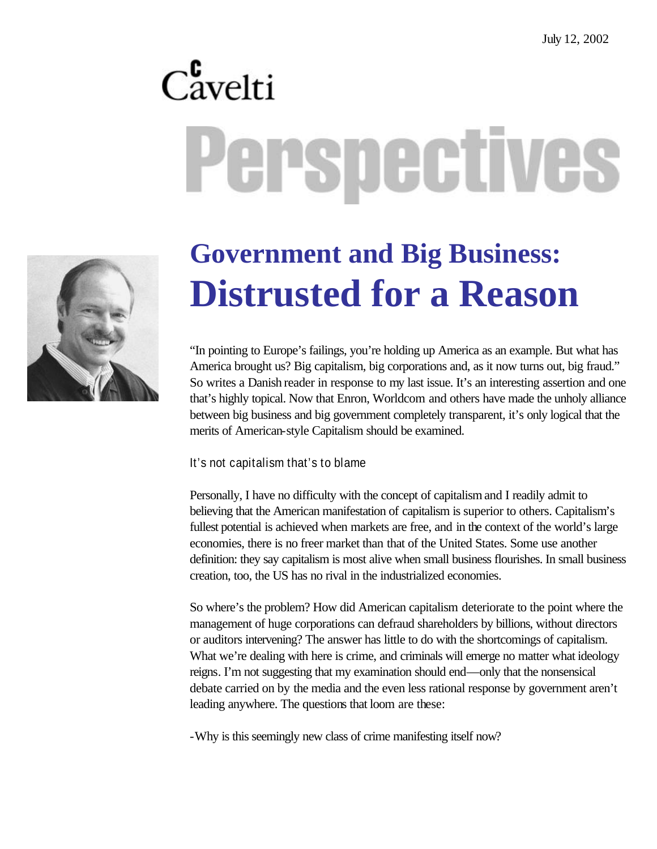# $C_{\text{avelti}}^{\text{c}}$ Perspectives



## **Government and Big Business: Distrusted for a Reason**

"In pointing to Europe's failings, you're holding up America as an example. But what has America brought us? Big capitalism, big corporations and, as it now turns out, big fraud." So writes a Danish reader in response to my last issue. It's an interesting assertion and one that's highly topical. Now that Enron, Worldcom and others have made the unholy alliance between big business and big government completely transparent, it's only logical that the merits of American-style Capitalism should be examined.

#### It's not capitalism that's to blame

Personally, I have no difficulty with the concept of capitalism and I readily admit to believing that the American manifestation of capitalism is superior to others. Capitalism's fullest potential is achieved when markets are free, and in the context of the world's large economies, there is no freer market than that of the United States. Some use another definition: they say capitalism is most alive when small business flourishes. In small business creation, too, the US has no rival in the industrialized economies.

So where's the problem? How did American capitalism deteriorate to the point where the management of huge corporations can defraud shareholders by billions, without directors or auditors intervening? The answer has little to do with the shortcomings of capitalism. What we're dealing with here is crime, and criminals will emerge no matter what ideology reigns. I'm not suggesting that my examination should end—only that the nonsensical debate carried on by the media and the even less rational response by government aren't leading anywhere. The questions that loom are these:

-Why is this seemingly new class of crime manifesting itself now?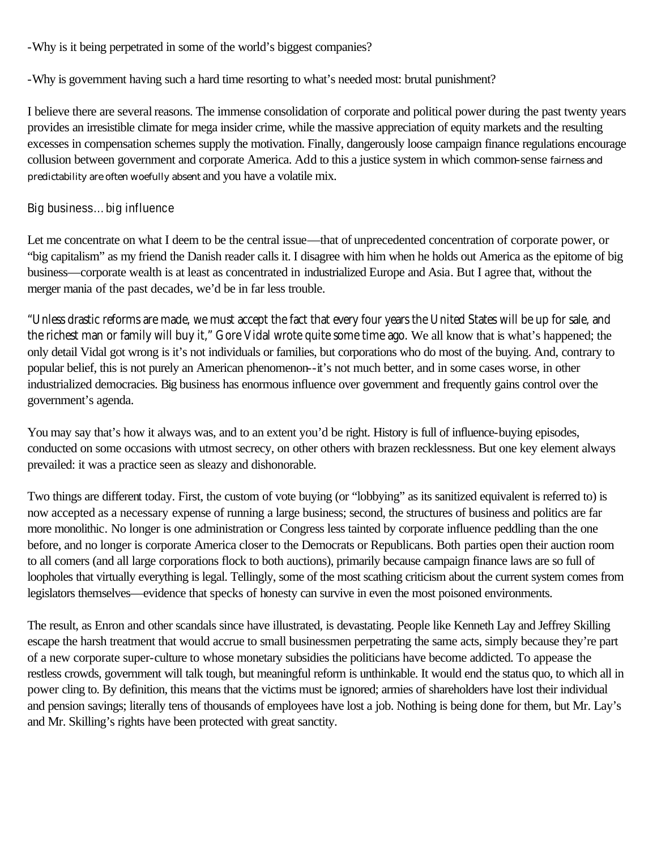-Why is it being perpetrated in some of the world's biggest companies?

-Why is government having such a hard time resorting to what's needed most: brutal punishment?

I believe there are several reasons. The immense consolidation of corporate and political power during the past twenty years provides an irresistible climate for mega insider crime, while the massive appreciation of equity markets and the resulting excesses in compensation schemes supply the motivation. Finally, dangerously loose campaign finance regulations encourage collusion between government and corporate America. Add to this a justice system in which common-sense fairness and predictability are often woefully absent and you have a volatile mix.

#### Big business…big influence

Let me concentrate on what I deem to be the central issue—that of unprecedented concentration of corporate power, or "big capitalism" as my friend the Danish reader calls it. I disagree with him when he holds out America as the epitome of big business—corporate wealth is at least as concentrated in industrialized Europe and Asia. But I agree that, without the merger mania of the past decades, we'd be in far less trouble.

"Unless drastic reforms are made, we must accept the fact that every four years the United States will be up for sale, and the richest man or family will buy it," Gore Vidal wrote quite some time ago. We all know that is what's happened; the only detail Vidal got wrong is it's not individuals or families, but corporations who do most of the buying. And, contrary to popular belief, this is not purely an American phenomenon--it's not much better, and in some cases worse, in other industrialized democracies. Big business has enormous influence over government and frequently gains control over the government's agenda.

You may say that's how it always was, and to an extent you'd be right. History is full of influence-buying episodes, conducted on some occasions with utmost secrecy, on other others with brazen recklessness. But one key element always prevailed: it was a practice seen as sleazy and dishonorable.

Two things are different today. First, the custom of vote buying (or "lobbying" as its sanitized equivalent is referred to) is now accepted as a necessary expense of running a large business; second, the structures of business and politics are far more monolithic. No longer is one administration or Congress less tainted by corporate influence peddling than the one before, and no longer is corporate America closer to the Democrats or Republicans. Both parties open their auction room to all comers (and all large corporations flock to both auctions), primarily because campaign finance laws are so full of loopholes that virtually everything is legal. Tellingly, some of the most scathing criticism about the current system comes from legislators themselves—evidence that specks of honesty can survive in even the most poisoned environments.

The result, as Enron and other scandals since have illustrated, is devastating. People like Kenneth Lay and Jeffrey Skilling escape the harsh treatment that would accrue to small businessmen perpetrating the same acts, simply because they're part of a new corporate super-culture to whose monetary subsidies the politicians have become addicted. To appease the restless crowds, government will talk tough, but meaningful reform is unthinkable. It would end the status quo, to which all in power cling to. By definition, this means that the victims must be ignored; armies of shareholders have lost their individual and pension savings; literally tens of thousands of employees have lost a job. Nothing is being done for them, but Mr. Lay's and Mr. Skilling's rights have been protected with great sanctity.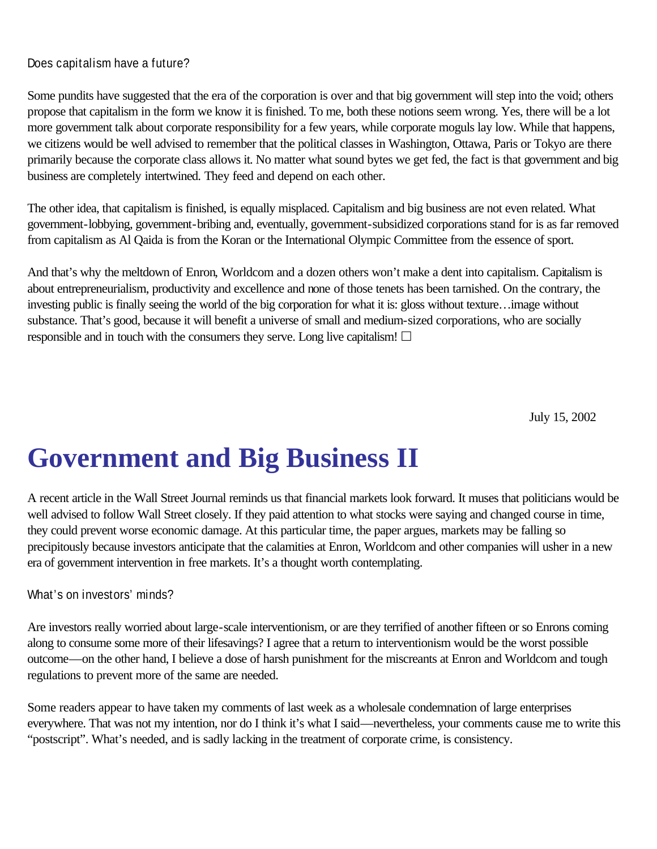#### Does capitalism have a future?

Some pundits have suggested that the era of the corporation is over and that big government will step into the void; others propose that capitalism in the form we know it is finished. To me, both these notions seem wrong. Yes, there will be a lot more government talk about corporate responsibility for a few years, while corporate moguls lay low. While that happens, we citizens would be well advised to remember that the political classes in Washington, Ottawa, Paris or Tokyo are there primarily because the corporate class allows it. No matter what sound bytes we get fed, the fact is that government and big business are completely intertwined. They feed and depend on each other.

The other idea, that capitalism is finished, is equally misplaced. Capitalism and big business are not even related. What government-lobbying, government-bribing and, eventually, government-subsidized corporations stand for is as far removed from capitalism as Al Qaida is from the Koran or the International Olympic Committee from the essence of sport.

And that's why the meltdown of Enron, Worldcom and a dozen others won't make a dent into capitalism. Capitalism is about entrepreneurialism, productivity and excellence and none of those tenets has been tarnished. On the contrary, the investing public is finally seeing the world of the big corporation for what it is: gloss without texture…image without substance. That's good, because it will benefit a universe of small and medium-sized corporations, who are socially responsible and in touch with the consumers they serve. Long live capitalism!  $\Box$ 

July 15, 2002

## **Government and Big Business II**

A recent article in the Wall Street Journal reminds us that financial markets look forward. It muses that politicians would be well advised to follow Wall Street closely. If they paid attention to what stocks were saying and changed course in time, they could prevent worse economic damage. At this particular time, the paper argues, markets may be falling so precipitously because investors anticipate that the calamities at Enron, Worldcom and other companies will usher in a new era of government intervention in free markets. It's a thought worth contemplating.

#### What's on investors' minds?

Are investors really worried about large-scale interventionism, or are they terrified of another fifteen or so Enrons coming along to consume some more of their lifesavings? I agree that a return to interventionism would be the worst possible outcome—on the other hand, I believe a dose of harsh punishment for the miscreants at Enron and Worldcom and tough regulations to prevent more of the same are needed.

Some readers appear to have taken my comments of last week as a wholesale condemnation of large enterprises everywhere. That was not my intention, nor do I think it's what I said—nevertheless, your comments cause me to write this "postscript". What's needed, and is sadly lacking in the treatment of corporate crime, is consistency.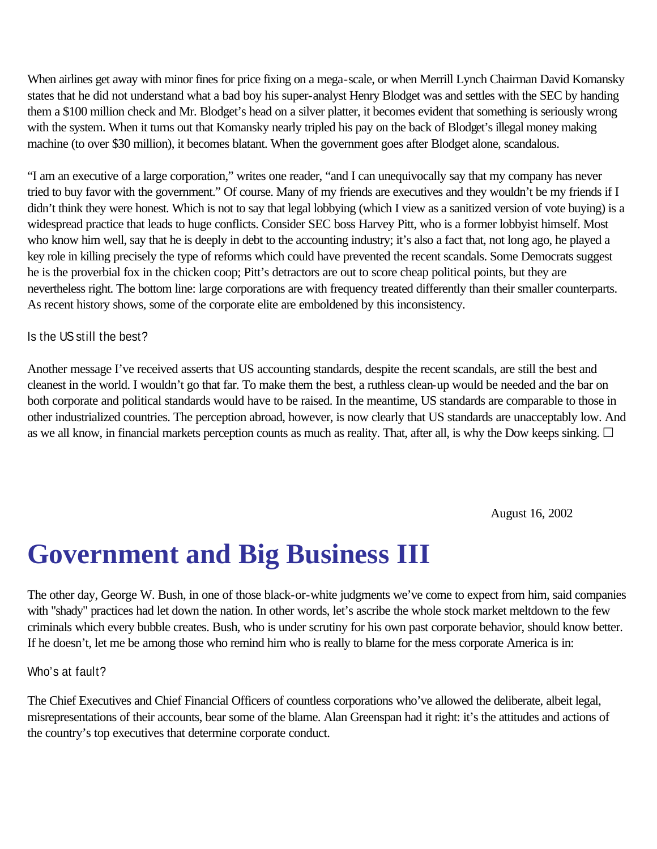When airlines get away with minor fines for price fixing on a mega-scale, or when Merrill Lynch Chairman David Komansky states that he did not understand what a bad boy his super-analyst Henry Blodget was and settles with the SEC by handing them a \$100 million check and Mr. Blodget's head on a silver platter, it becomes evident that something is seriously wrong with the system. When it turns out that Komansky nearly tripled his pay on the back of Blodget's illegal money making machine (to over \$30 million), it becomes blatant. When the government goes after Blodget alone, scandalous.

"I am an executive of a large corporation," writes one reader, "and I can unequivocally say that my company has never tried to buy favor with the government." Of course. Many of my friends are executives and they wouldn't be my friends if I didn't think they were honest. Which is not to say that legal lobbying (which I view as a sanitized version of vote buying) is a widespread practice that leads to huge conflicts. Consider SEC boss Harvey Pitt, who is a former lobbyist himself. Most who know him well, say that he is deeply in debt to the accounting industry; it's also a fact that, not long ago, he played a key role in killing precisely the type of reforms which could have prevented the recent scandals. Some Democrats suggest he is the proverbial fox in the chicken coop; Pitt's detractors are out to score cheap political points, but they are nevertheless right. The bottom line: large corporations are with frequency treated differently than their smaller counterparts. As recent history shows, some of the corporate elite are emboldened by this inconsistency.

#### Is the US still the best?

Another message I've received asserts that US accounting standards, despite the recent scandals, are still the best and cleanest in the world. I wouldn't go that far. To make them the best, a ruthless clean-up would be needed and the bar on both corporate and political standards would have to be raised. In the meantime, US standards are comparable to those in other industrialized countries. The perception abroad, however, is now clearly that US standards are unacceptably low. And as we all know, in financial markets perception counts as much as reality. That, after all, is why the Dow keeps sinking.  $\Box$ 

August 16, 2002

### **Government and Big Business III**

The other day, George W. Bush, in one of those black-or-white judgments we've come to expect from him, said companies with "shady" practices had let down the nation. In other words, let's ascribe the whole stock market meltdown to the few criminals which every bubble creates. Bush, who is under scrutiny for his own past corporate behavior, should know better. If he doesn't, let me be among those who remind him who is really to blame for the mess corporate America is in:

#### Who's at fault?

The Chief Executives and Chief Financial Officers of countless corporations who've allowed the deliberate, albeit legal, misrepresentations of their accounts, bear some of the blame. Alan Greenspan had it right: it's the attitudes and actions of the country's top executives that determine corporate conduct.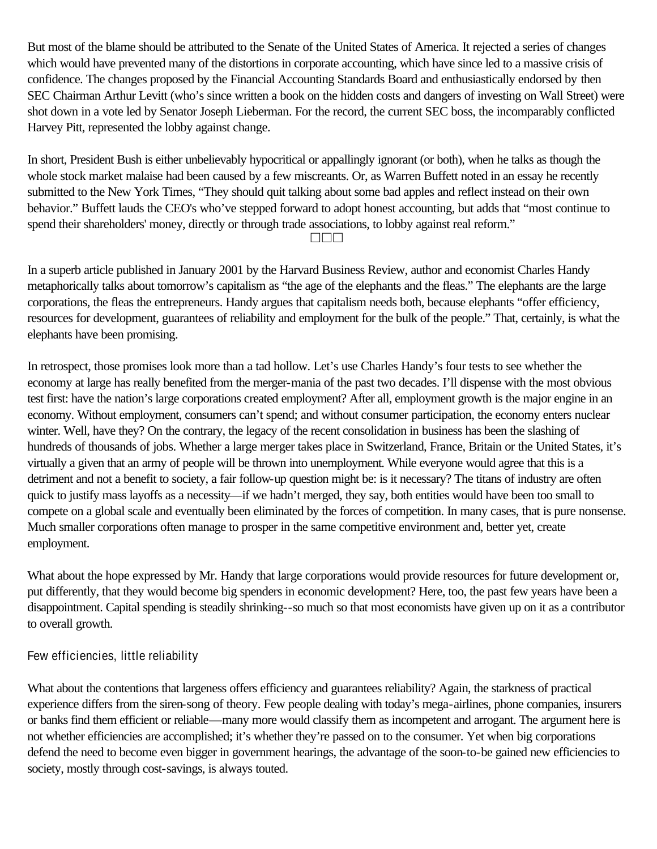But most of the blame should be attributed to the Senate of the United States of America. It rejected a series of changes which would have prevented many of the distortions in corporate accounting, which have since led to a massive crisis of confidence. The changes proposed by the Financial Accounting Standards Board and enthusiastically endorsed by then SEC Chairman Arthur Levitt (who's since written a book on the hidden costs and dangers of investing on Wall Street) were shot down in a vote led by Senator Joseph Lieberman. For the record, the current SEC boss, the incomparably conflicted Harvey Pitt, represented the lobby against change.

In short, President Bush is either unbelievably hypocritical or appallingly ignorant (or both), when he talks as though the whole stock market malaise had been caused by a few miscreants. Or, as Warren Buffett noted in an essay he recently submitted to the New York Times, "They should quit talking about some bad apples and reflect instead on their own behavior." Buffett lauds the CEO's who've stepped forward to adopt honest accounting, but adds that "most continue to spend their shareholders' money, directly or through trade associations, to lobby against real reform."

 $\Box\Box\Box$ 

In a superb article published in January 2001 by the Harvard Business Review, author and economist Charles Handy metaphorically talks about tomorrow's capitalism as "the age of the elephants and the fleas." The elephants are the large corporations, the fleas the entrepreneurs. Handy argues that capitalism needs both, because elephants "offer efficiency, resources for development, guarantees of reliability and employment for the bulk of the people." That, certainly, is what the elephants have been promising.

In retrospect, those promises look more than a tad hollow. Let's use Charles Handy's four tests to see whether the economy at large has really benefited from the merger-mania of the past two decades. I'll dispense with the most obvious test first: have the nation's large corporations created employment? After all, employment growth is the major engine in an economy. Without employment, consumers can't spend; and without consumer participation, the economy enters nuclear winter. Well, have they? On the contrary, the legacy of the recent consolidation in business has been the slashing of hundreds of thousands of jobs. Whether a large merger takes place in Switzerland, France, Britain or the United States, it's virtually a given that an army of people will be thrown into unemployment. While everyone would agree that this is a detriment and not a benefit to society, a fair follow-up question might be: is it necessary? The titans of industry are often quick to justify mass layoffs as a necessity—if we hadn't merged, they say, both entities would have been too small to compete on a global scale and eventually been eliminated by the forces of competition. In many cases, that is pure nonsense. Much smaller corporations often manage to prosper in the same competitive environment and, better yet, create employment.

What about the hope expressed by Mr. Handy that large corporations would provide resources for future development or, put differently, that they would become big spenders in economic development? Here, too, the past few years have been a disappointment. Capital spending is steadily shrinking--so much so that most economists have given up on it as a contributor to overall growth.

#### Few efficiencies, little reliability

What about the contentions that largeness offers efficiency and guarantees reliability? Again, the starkness of practical experience differs from the siren-song of theory. Few people dealing with today's mega-airlines, phone companies, insurers or banks find them efficient or reliable—many more would classify them as incompetent and arrogant. The argument here is not whether efficiencies are accomplished; it's whether they're passed on to the consumer. Yet when big corporations defend the need to become even bigger in government hearings, the advantage of the soon-to-be gained new efficiencies to society, mostly through cost-savings, is always touted.